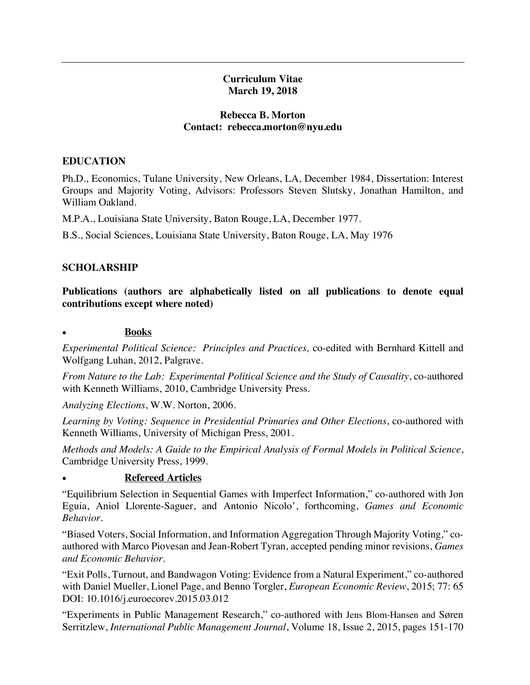### **Curriculum Vitae March 19, 2018**

#### **Rebecca B. Morton Contact: rebecca.morton@nyu.edu**

### **EDUCATION**

 Ph.D., Economics, Tulane University, New Orleans, LA, December 1984, Dissertation: Interest Groups and Majority Voting, Advisors: Professors Steven Slutsky, Jonathan Hamilton, and William Oakland.

M.P.A., Louisiana State University, Baton Rouge, LA, December 1977.

B.S., Social Sciences, Louisiana State University, Baton Rouge, LA, May 1976

### **SCHOLARSHIP**

 **Publications (authors are alphabetically listed on all publications to denote equal contributions except where noted)** 

#### • **Books**

 *Experimental Political Science: Principles and Practices,* co-edited with Bernhard Kittell and Wolfgang Luhan, 2012, Palgrave.

 *From Nature to the Lab: Experimental Political Science and the Study of Causality*, co-authored with Kenneth Williams, 2010, Cambridge University Press.

*Analyzing Elections*, W.W. Norton, 2006.

 *Learning by Voting: Sequence in Presidential Primaries and Other Elections*, co-authored with Kenneth Williams, University of Michigan Press, 2001.

 *Methods and Models: A Guide to the Empirical Analysis of Formal Models in Political Science*, Cambridge University Press, 1999.

### • **Refereed Articles**

 "Equilibrium Selection in Sequential Games with Imperfect Information," co-authored with Jon Eguia, Aniol Llorente-Saguer, and Antonio Nicolo', forthcoming, *Games and Economic Behavior.* 

 "Biased Voters, Social Information, and Information Aggregation Through Majority Voting," co- authored with Marco Piovesan and Jean-Robert Tyran, accepted pending minor revisions, *Games and Economic Behavior.* 

 "Exit Polls, Turnout, and Bandwagon Voting: Evidence from a Natural Experiment," co-authored with Daniel Mueller, Lionel Page, and Benno Torgler, *European Economic Review*, 2015; 77: 65 DOI: 10.1016/j.euroecorev.2015.03.012

 "Experiments in Public Management Research," co-authored with Jens Blom-Hansen and Søren  Serritzlew, *International Public Management Journal*, Volume 18, Issue 2, 2015, pages 151-170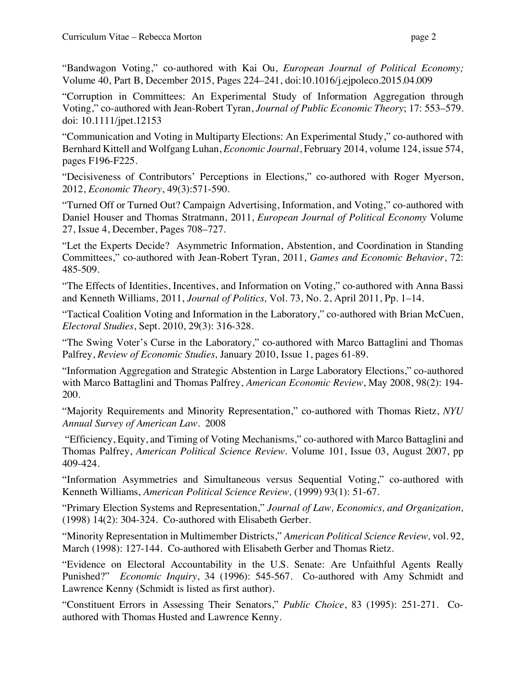"Bandwagon Voting," co-authored with Kai Ou, *European Journal of Political Economy;* Volume 40, Part B, December 2015, Pages 224–241, doi:10.1016/j.ejpoleco.2015.04.009

 "Corruption in Committees: An Experimental Study of Information Aggregation through Voting," co-authored with Jean-Robert Tyran, *Journal of Public Economic Theory*; 17: 553–579. doi: 10.1111/jpet.12153

 "Communication and Voting in Multiparty Elections: An Experimental Study," co-authored with Bernhard Kittell and Wolfgang Luhan, *Economic Journal*, February 2014, volume 124, issue 574, pages F196-F225.

 "Decisiveness of Contributors' Perceptions in Elections," co-authored with Roger Myerson, 2012, *Economic Theory*, 49(3):571-590*.* 

 "Turned Off or Turned Out? Campaign Advertising, Information, and Voting," co-authored with Daniel Houser and Thomas Stratmann, 2011, *European Journal of Political Economy* Volume 27, Issue 4, December, Pages 708–727.

 "Let the Experts Decide? Asymmetric Information, Abstention, and Coordination in Standing Committees," co-authored with Jean-Robert Tyran, 2011, *Games and Economic Behavior*, 72: 485-509.

 "The Effects of Identities, Incentives, and Information on Voting," co-authored with Anna Bassi and Kenneth Williams, 2011, *Journal of Politics,* Vol. 73, No. 2, April 2011, Pp. 1–14.

 *Electoral Studies*, Sept. 2010, 29(3): 316-328. "Tactical Coalition Voting and Information in the Laboratory," co-authored with Brian McCuen,

 "The Swing Voter's Curse in the Laboratory," co-authored with Marco Battaglini and Thomas  Palfrey, *Review of Economic Studies,* January 2010, Issue 1, pages 61-89.

 "Information Aggregation and Strategic Abstention in Large Laboratory Elections," co-authored with Marco Battaglini and Thomas Palfrey, *American Economic Review*, May 2008, 98(2): 194- 200.

 "Majority Requirements and Minority Representation," co-authored with Thomas Rietz, *NYU Annual Survey of American Law.* 2008

 "Efficiency, Equity, and Timing of Voting Mechanisms," co-authored with Marco Battaglini and Thomas Palfrey, *American Political Science Review.* Volume 101, Issue 03, August 2007, pp 409-424.

 "Information Asymmetries and Simultaneous versus Sequential Voting," co-authored with  Kenneth Williams, *American Political Science Review,* (1999) 93(1): 51-67.

 "Primary Election Systems and Representation," *Journal of Law, Economics, and Organization,* (1998) 14(2): 304-324. Co-authored with Elisabeth Gerber.

 "Minority Representation in Multimember Districts," *American Political Science Review,* vol. 92, March (1998): 127-144. Co-authored with Elisabeth Gerber and Thomas Rietz.

 "Evidence on Electoral Accountability in the U.S. Senate: Are Unfaithful Agents Really Punished?" *Economic Inquiry*, 34 (1996): 545-567. Co-authored with Amy Schmidt and Lawrence Kenny (Schmidt is listed as first author).

 "Constituent Errors in Assessing Their Senators," *Public Choice*, 83 (1995): 251-271. Co-authored with Thomas Husted and Lawrence Kenny.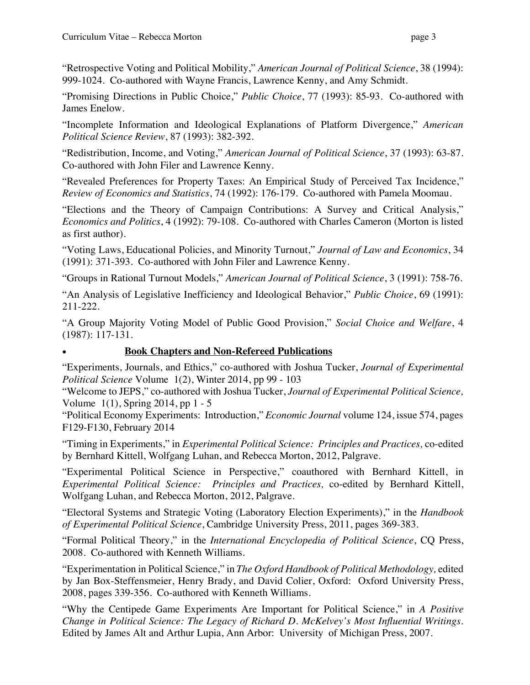"Retrospective Voting and Political Mobility," *American Journal of Political Science*, 38 (1994): 999-1024. Co-authored with Wayne Francis, Lawrence Kenny, and Amy Schmidt.

 "Promising Directions in Public Choice," *Public Choice*, 77 (1993): 85-93. Co-authored with James Enelow.

 "Incomplete Information and Ideological Explanations of Platform Divergence," *American Political Science Review*, 87 (1993): 382-392.

 "Redistribution, Income, and Voting," *American Journal of Political Science*, 37 (1993): 63-87. Co-authored with John Filer and Lawrence Kenny.

 "Revealed Preferences for Property Taxes: An Empirical Study of Perceived Tax Incidence,"  *Review of Economics and Statistics*, 74 (1992): 176-179. Co-authored with Pamela Moomau.

 "Elections and the Theory of Campaign Contributions: A Survey and Critical Analysis," *Economics and Politics*, 4 (1992): 79-108. Co-authored with Charles Cameron (Morton is listed as first author).

 "Voting Laws, Educational Policies, and Minority Turnout," *Journal of Law and Economics*, 34 (1991): 371-393. Co-authored with John Filer and Lawrence Kenny.

"Groups in Rational Turnout Models," *American Journal of Political Science*, 3 (1991): 758-76.

 "An Analysis of Legislative Inefficiency and Ideological Behavior," *Public Choice*, 69 (1991): 211-222.

 "A Group Majority Voting Model of Public Good Provision," *Social Choice and Welfare*, 4 (1987): 117-131.

### • **Book Chapters and Non-Refereed Publications**

 "Experiments, Journals, and Ethics," co-authored with Joshua Tucker, *Journal of Experimental Political Science* Volume 1(2), Winter 2014, pp 99 - 103

 "Welcome to JEPS," co-authored with Joshua Tucker, *Journal of Experimental Political Science,*  Volume 1(1), Spring 2014, pp 1 - 5

 "Political Economy Experiments: Introduction," *Economic Journal* volume 124, issue 574, pages F129-F130, February 2014

 "Timing in Experiments," in *Experimental Political Science: Principles and Practices,* co-edited by Bernhard Kittell, Wolfgang Luhan, and Rebecca Morton, 2012, Palgrave.

 "Experimental Political Science in Perspective," coauthored with Bernhard Kittell, in  *Experimental Political Science: Principles and Practices,* co-edited by Bernhard Kittell, Wolfgang Luhan, and Rebecca Morton, 2012, Palgrave.

 "Electoral Systems and Strategic Voting (Laboratory Election Experiments)," in the *Handbook of Experimental Political Science*, Cambridge University Press, 2011, pages 369-383.

 "Formal Political Theory," in the *International Encyclopedia of Political Science*, CQ Press, 2008. Co-authored with Kenneth Williams.

 "Experimentation in Political Science," in *The Oxford Handbook of Political Methodology,* edited by Jan Box-Steffensmeier, Henry Brady, and David Colier, Oxford: Oxford University Press, 2008, pages 339-356. Co-authored with Kenneth Williams.

 "Why the Centipede Game Experiments Are Important for Political Science," in *A Positive Change in Political Science: The Legacy of Richard D. McKelvey's Most Influential Writings*. Edited by James Alt and Arthur Lupia, Ann Arbor: University of Michigan Press, 2007.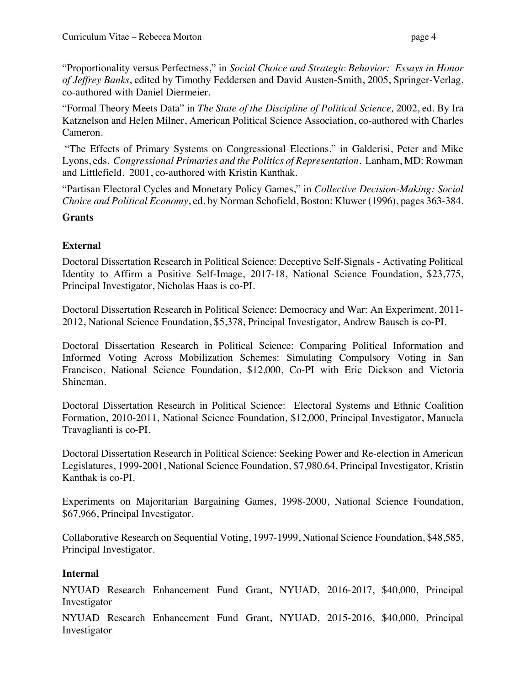"Proportionality versus Perfectness," in *Social Choice and Strategic Behavior: Essays in Honor of Jeffrey Banks*, edited by Timothy Feddersen and David Austen-Smith, 2005, Springer-Verlag, co-authored with Daniel Diermeier.

 "Formal Theory Meets Data" in *The State of the Discipline of Political Science,* 2002, ed. By Ira Katznelson and Helen Milner, American Political Science Association, co-authored with Charles Cameron.

 "The Effects of Primary Systems on Congressional Elections." in Galderisi, Peter and Mike Lyons, eds. *Congressional Primaries and the Politics of Representation*. Lanham, MD: Rowman and Littlefield. 2001, co-authored with Kristin Kanthak.

 "Partisan Electoral Cycles and Monetary Policy Games," in *Collective Decision-Making: Social Choice and Political Economy*, ed. by Norman Schofield, Boston: Kluwer (1996), pages 363-384.

### Grants

## **External**

 Doctoral Dissertation Research in Political Science: Deceptive Self-Signals - Activating Political Identity to Affirm a Positive Self-Image, 2017-18, National Science Foundation, \$23,775, Principal Investigator, Nicholas Haas is co-PI.

 Doctoral Dissertation Research in Political Science: Democracy and War: An Experiment, 2011- 2012, National Science Foundation, \$5,378, Principal Investigator, Andrew Bausch is co-PI.

 Doctoral Dissertation Research in Political Science: Comparing Political Information and Informed Voting Across Mobilization Schemes: Simulating Compulsory Voting in San Francisco, National Science Foundation, \$12,000, Co-PI with Eric Dickson and Victoria Shineman.

 Doctoral Dissertation Research in Political Science: Electoral Systems and Ethnic Coalition Formation, 2010-2011, National Science Foundation, \$12,000, Principal Investigator, Manuela Travaglianti is co-PI.

 Doctoral Dissertation Research in Political Science: Seeking Power and Re-election in American Legislatures, 1999-2001, National Science Foundation, \$7,980.64, Principal Investigator, Kristin Kanthak is co-PI.

 Experiments on Majoritarian Bargaining Games, 1998-2000, National Science Foundation, \$67,966, Principal Investigator.

 Collaborative Research on Sequential Voting, 1997-1999, National Science Foundation, \$48,585, Principal Investigator.

# **Internal**

 NYUAD Research Enhancement Fund Grant, NYUAD, 2016-2017, \$40,000, Principal Investigator

 NYUAD Research Enhancement Fund Grant, NYUAD, 2015-2016, \$40,000, Principal Investigator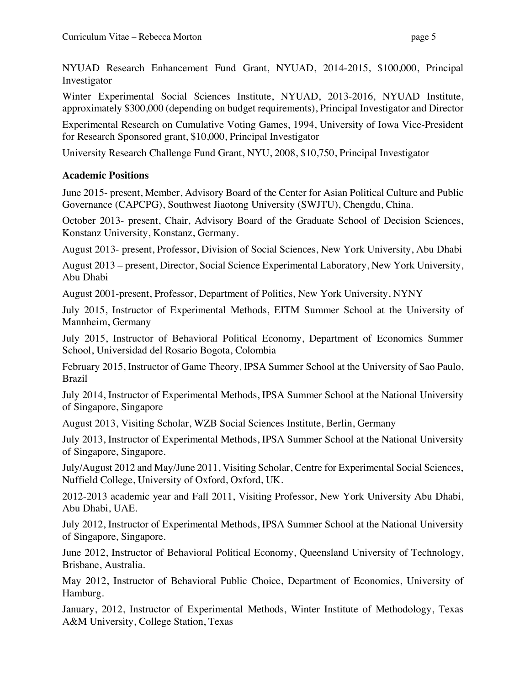NYUAD Research Enhancement Fund Grant, NYUAD, 2014-2015, \$100,000, Principal Investigator

 Winter Experimental Social Sciences Institute, NYUAD, 2013-2016, NYUAD Institute, approximately \$300,000 (depending on budget requirements), Principal Investigator and Director

 Experimental Research on Cumulative Voting Games, 1994, University of Iowa Vice-President for Research Sponsored grant, \$10,000, Principal Investigator

University Research Challenge Fund Grant, NYU, 2008, \$10,750, Principal Investigator

### **Academic Positions**

 June 2015- present, Member, Advisory Board of the Center for Asian Political Culture and Public Governance (CAPCPG), Southwest Jiaotong University (SWJTU), Chengdu, China.

 October 2013- present, Chair, Advisory Board of the Graduate School of Decision Sciences, Konstanz University, Konstanz, Germany.

August 2013- present, Professor, Division of Social Sciences, New York University, Abu Dhabi

 August 2013 – present, Director, Social Science Experimental Laboratory, New York University, Abu Dhabi

August 2001-present, Professor, Department of Politics, New York University, NYNY

 July 2015, Instructor of Experimental Methods, EITM Summer School at the University of Mannheim, Germany

 July 2015, Instructor of Behavioral Political Economy, Department of Economics Summer School, Universidad del Rosario Bogota, Colombia

 February 2015, Instructor of Game Theory, IPSA Summer School at the University of Sao Paulo, Brazil

 July 2014, Instructor of Experimental Methods, IPSA Summer School at the National University of Singapore, Singapore

August 2013, Visiting Scholar, WZB Social Sciences Institute, Berlin, Germany

 July 2013, Instructor of Experimental Methods, IPSA Summer School at the National University of Singapore, Singapore.

 July/August 2012 and May/June 2011, Visiting Scholar, Centre for Experimental Social Sciences, Nuffield College, University of Oxford, Oxford, UK.

 2012-2013 academic year and Fall 2011, Visiting Professor, New York University Abu Dhabi, Abu Dhabi, UAE.

 July 2012, Instructor of Experimental Methods, IPSA Summer School at the National University of Singapore, Singapore.

 June 2012, Instructor of Behavioral Political Economy, Queensland University of Technology, Brisbane, Australia.

 May 2012, Instructor of Behavioral Public Choice, Department of Economics, University of Hamburg.

 January, 2012, Instructor of Experimental Methods, Winter Institute of Methodology, Texas A&M University, College Station, Texas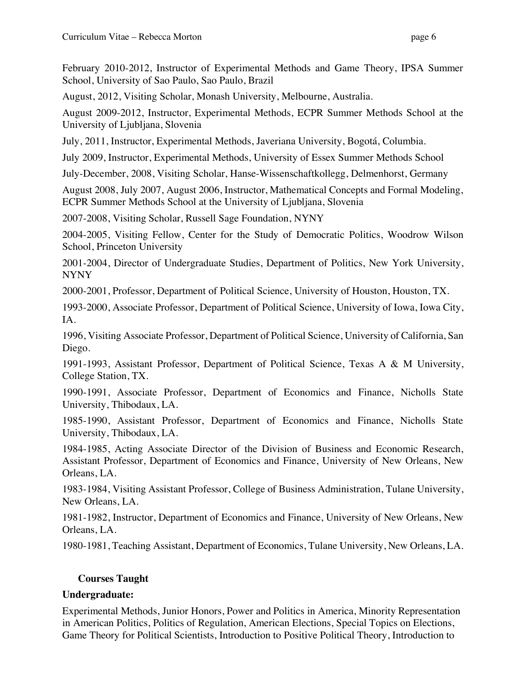February 2010-2012, Instructor of Experimental Methods and Game Theory, IPSA Summer School, University of Sao Paulo, Sao Paulo, Brazil

August, 2012, Visiting Scholar, Monash University, Melbourne, Australia.

 August 2009-2012, Instructor, Experimental Methods, ECPR Summer Methods School at the University of Ljubljana, Slovenia

July, 2011, Instructor, Experimental Methods, Javeriana University, Bogotá, Columbia.

July 2009, Instructor, Experimental Methods, University of Essex Summer Methods School

July-December, 2008, Visiting Scholar, Hanse-Wissenschaftkollegg, Delmenhorst, Germany

 August 2008, July 2007, August 2006, Instructor, Mathematical Concepts and Formal Modeling, ECPR Summer Methods School at the University of Ljubljana, Slovenia

2007-2008, Visiting Scholar, Russell Sage Foundation, NYNY

 2004-2005, Visiting Fellow, Center for the Study of Democratic Politics, Woodrow Wilson School, Princeton University

 2001-2004, Director of Undergraduate Studies, Department of Politics, New York University, NYNY

2000-2001, Professor, Department of Political Science, University of Houston, Houston, TX.

 1993-2000, Associate Professor, Department of Political Science, University of Iowa, Iowa City, IA.

 1996, Visiting Associate Professor, Department of Political Science, University of California, San Diego.

 1991-1993, Assistant Professor, Department of Political Science, Texas A & M University, College Station, TX.

 1990-1991, Associate Professor, Department of Economics and Finance, Nicholls State University, Thibodaux, LA.

 1985-1990, Assistant Professor, Department of Economics and Finance, Nicholls State University, Thibodaux, LA.

 1984-1985, Acting Associate Director of the Division of Business and Economic Research, Assistant Professor, Department of Economics and Finance, University of New Orleans, New Orleans, LA.

 1983-1984, Visiting Assistant Professor, College of Business Administration, Tulane University, New Orleans, LA.

 1981-1982, Instructor, Department of Economics and Finance, University of New Orleans, New Orleans, LA.

1980-1981, Teaching Assistant, Department of Economics, Tulane University, New Orleans, LA.

# **Courses Taught**

# **Undergraduate:**

 Experimental Methods, Junior Honors, Power and Politics in America, Minority Representation in American Politics, Politics of Regulation, American Elections, Special Topics on Elections, Game Theory for Political Scientists, Introduction to Positive Political Theory, Introduction to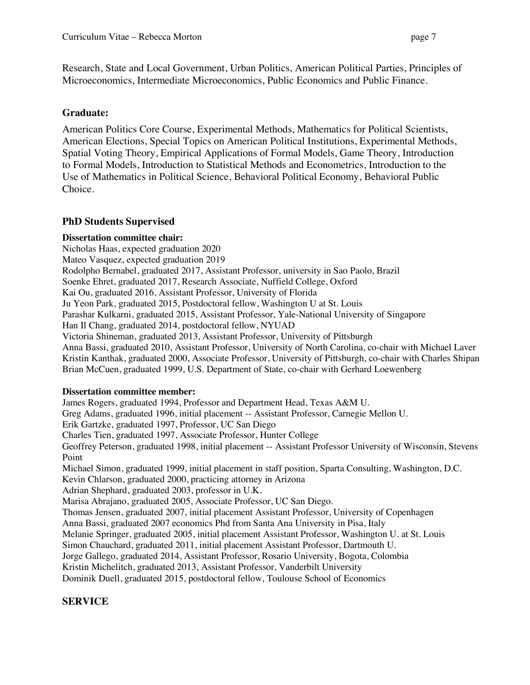Research, State and Local Government, Urban Politics, American Political Parties, Principles of Microeconomics, Intermediate Microeconomics, Public Economics and Public Finance.

### **Graduate:**

 American Politics Core Course, Experimental Methods, Mathematics for Political Scientists, American Elections, Special Topics on American Political Institutions, Experimental Methods, Spatial Voting Theory, Empirical Applications of Formal Models, Game Theory, Introduction to Formal Models, Introduction to Statistical Methods and Econometrics, Introduction to the Use of Mathematics in Political Science, Behavioral Political Economy, Behavioral Public Choice.

# **PhD Students Supervised**

### **Dissertation committee chair:**

 Nicholas Haas, expected graduation 2020 Rodolpho Bernabel, graduated 2017, Assistant Professor, university in Sao Paolo, Brazil Soenke Ehret, graduated 2017, Research Associate, Nuffield College, Oxford Kai Ou, graduated 2016, Assistant Professor, University of Florida Ju Yeon Park, graduated 2015, Postdoctoral fellow, Washington U at St. Louis Parashar Kulkarni, graduated 2015, Assistant Professor, Yale-National University of Singapore Han Il Chang, graduated 2014, postdoctoral fellow, NYUAD Victoria Shineman, graduated 2013, Assistant Professor, University of Pittsburgh Anna Bassi, graduated 2010, Assistant Professor, University of North Carolina, co-chair with Michael Laver Kristin Kanthak, graduated 2000, Associate Professor, University of Pittsburgh, co-chair with Charles Shipan Brian McCuen, graduated 1999, U.S. Department of State, co-chair with Gerhard Loewenberg Mateo Vasquez, expected graduation 2019

### **Dissertation committee member:**

 James Rogers, graduated 1994, Professor and Department Head, Texas A&M U. Greg Adams, graduated 1996, initial placement -- Assistant Professor, Carnegie Mellon U. Erik Gartzke, graduated 1997, Professor, UC San Diego Charles Tien, graduated 1997, Associate Professor, Hunter College Geoffrey Peterson, graduated 1998, initial placement -- Assistant Professor University of Wisconsin, Stevens Michael Simon, graduated 1999, initial placement in staff position, Sparta Consulting, Washington, D.C. Adrian Shephard, graduated 2003, professor in U.K. Marisa Abrajano, graduated 2005, Associate Professor, UC San Diego. Thomas Jensen, graduated 2007, initial placement Assistant Professor, University of Copenhagen Anna Bassi, graduated 2007 economics Phd from Santa Ana University in Pisa, Italy Melanie Springer, graduated 2005, initial placement Assistant Professor, Washington U. at St. Louis Simon Chauchard, graduated 2011, initial placement Assistant Professor, Dartmouth U. Jorge Gallego, graduated 2014, Assistant Professor, Rosario University, Bogota, Colombia Kristin Michelitch, graduated 2013, Assistant Professor, Vanderbilt University Dominik Duell, graduated 2015, postdoctoral fellow, Toulouse School of Economics Point Kevin Chlarson, graduated 2000, practicing attorney in Arizona

# **SERVICE**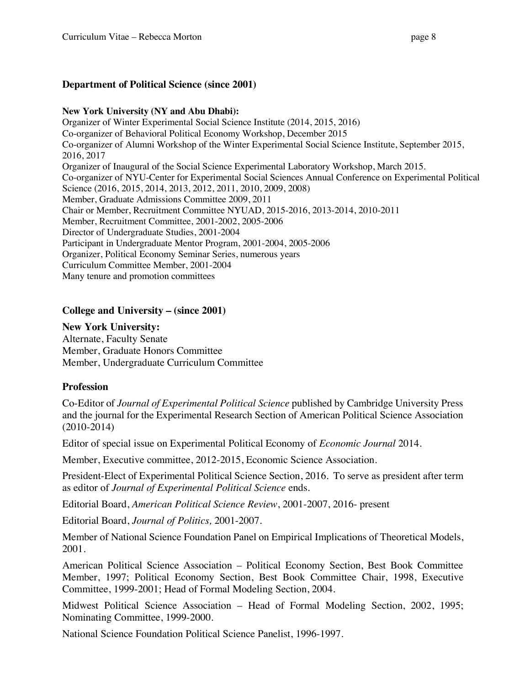### **New York University (NY and Abu Dhabi):**

 Organizer of Winter Experimental Social Science Institute (2014, 2015, 2016) Co-organizer of Behavioral Political Economy Workshop, December 2015 Co-organizer of Alumni Workshop of the Winter Experimental Social Science Institute, September 2015, 2016, 2017 Organizer of Inaugural of the Social Science Experimental Laboratory Workshop, March 2015. Co-organizer of NYU-Center for Experimental Social Sciences Annual Conference on Experimental Political Science (2016, 2015, 2014, 2013, 2012, 2011, 2010, 2009, 2008) Member, Graduate Admissions Committee 2009, 2011 Chair or Member, Recruitment Committee NYUAD, 2015-2016, 2013-2014, 2010-2011 Member, Recruitment Committee, 2001-2002, 2005-2006 Director of Undergraduate Studies, 2001-2004 Participant in Undergraduate Mentor Program, 2001-2004, 2005-2006 Organizer, Political Economy Seminar Series, numerous years Curriculum Committee Member, 2001-2004 Many tenure and promotion committees

### **College and University – (since 2001)**

 **New York University:** Alternate, Faculty Senate Member, Graduate Honors Committee Member, Undergraduate Curriculum Committee

### **Profession**

 Co-Editor of *Journal of Experimental Political Science* published by Cambridge University Press and the journal for the Experimental Research Section of American Political Science Association (2010-2014)

Editor of special issue on Experimental Political Economy of *Economic Journal* 2014.

Member, Executive committee, 2012-2015, Economic Science Association.

 President-Elect of Experimental Political Science Section, 2016. To serve as president after term as editor of *Journal of Experimental Political Science* ends.

Editorial Board, *American Political Science Review*, 2001-2007, 2016- present

Editorial Board, *Journal of Politics,* 2001-2007.

 Member of National Science Foundation Panel on Empirical Implications of Theoretical Models, 2001.

 American Political Science Association – Political Economy Section, Best Book Committee Member, 1997; Political Economy Section, Best Book Committee Chair, 1998, Executive Committee, 1999-2001; Head of Formal Modeling Section, 2004.

 Midwest Political Science Association – Head of Formal Modeling Section, 2002, 1995; Nominating Committee, 1999-2000.

National Science Foundation Political Science Panelist, 1996-1997.